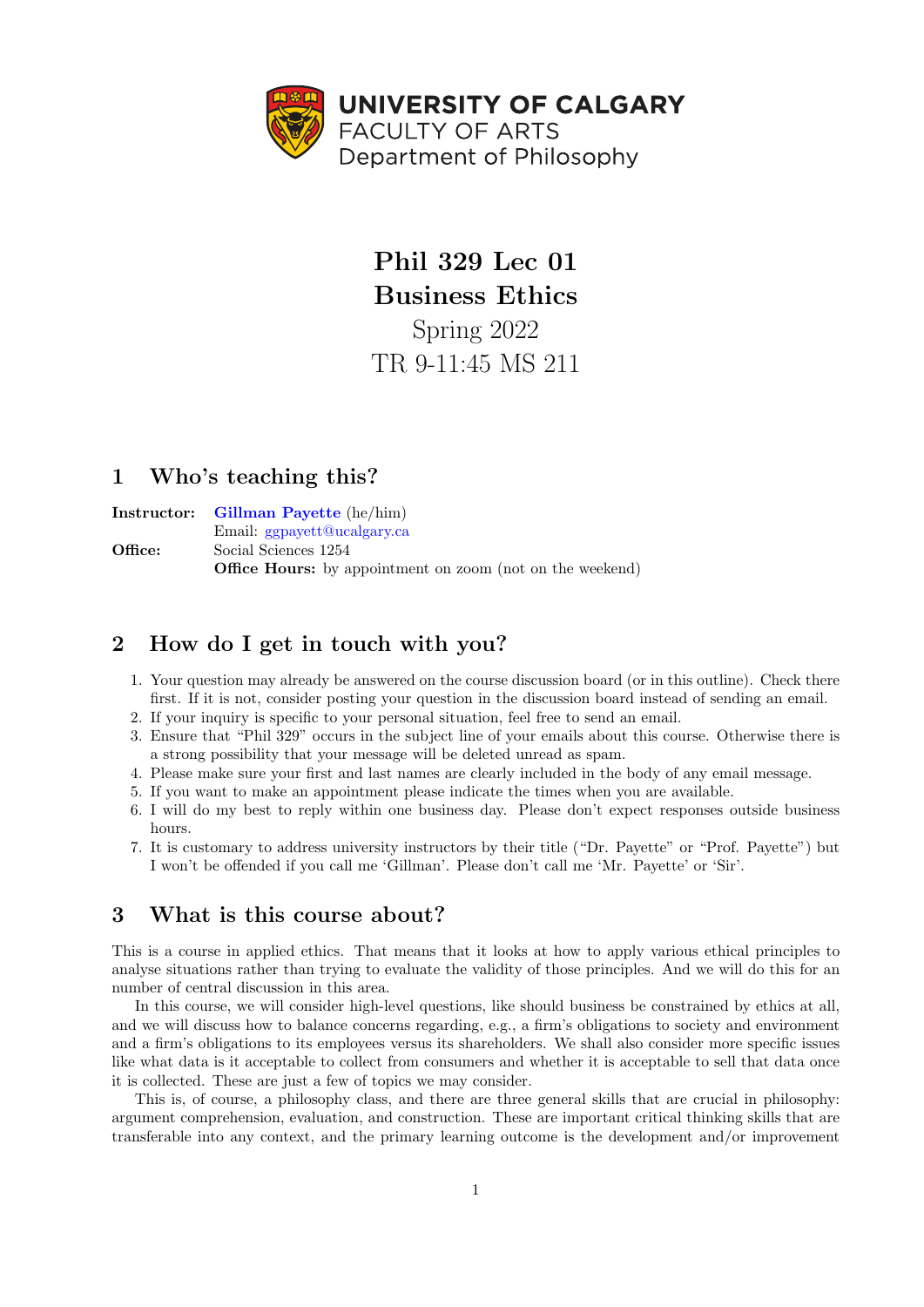

Phil 329 Lec 01 Business Ethics Spring 2022 TR 9-11:45 MS 211

# 1 Who's teaching this?

Instructor: [Gillman Payette](https://phil.ucalgary.ca/manageprofile/profiles/215-28350) (he/him) Email: [ggpayett@ucalgary.ca](mailto:ggpayett@ucalgary.ca) Office: Social Sciences 1254 Office Hours: by appointment on zoom (not on the weekend)

# 2 How do I get in touch with you?

- 1. Your question may already be answered on the course discussion board (or in this outline). Check there first. If it is not, consider posting your question in the discussion board instead of sending an email.
- 2. If your inquiry is specific to your personal situation, feel free to send an email.
- 3. Ensure that "Phil 329" occurs in the subject line of your emails about this course. Otherwise there is a strong possibility that your message will be deleted unread as spam.
- 4. Please make sure your first and last names are clearly included in the body of any email message.
- 5. If you want to make an appointment please indicate the times when you are available.
- 6. I will do my best to reply within one business day. Please don't expect responses outside business hours.
- 7. It is customary to address university instructors by their title ("Dr. Payette" or "Prof. Payette") but I won't be offended if you call me 'Gillman'. Please don't call me 'Mr. Payette' or 'Sir'.

## 3 What is this course about?

This is a course in applied ethics. That means that it looks at how to apply various ethical principles to analyse situations rather than trying to evaluate the validity of those principles. And we will do this for an number of central discussion in this area.

In this course, we will consider high-level questions, like should business be constrained by ethics at all, and we will discuss how to balance concerns regarding, e.g., a firm's obligations to society and environment and a firm's obligations to its employees versus its shareholders. We shall also consider more specific issues like what data is it acceptable to collect from consumers and whether it is acceptable to sell that data once it is collected. These are just a few of topics we may consider.

This is, of course, a philosophy class, and there are three general skills that are crucial in philosophy: argument comprehension, evaluation, and construction. These are important critical thinking skills that are transferable into any context, and the primary learning outcome is the development and/or improvement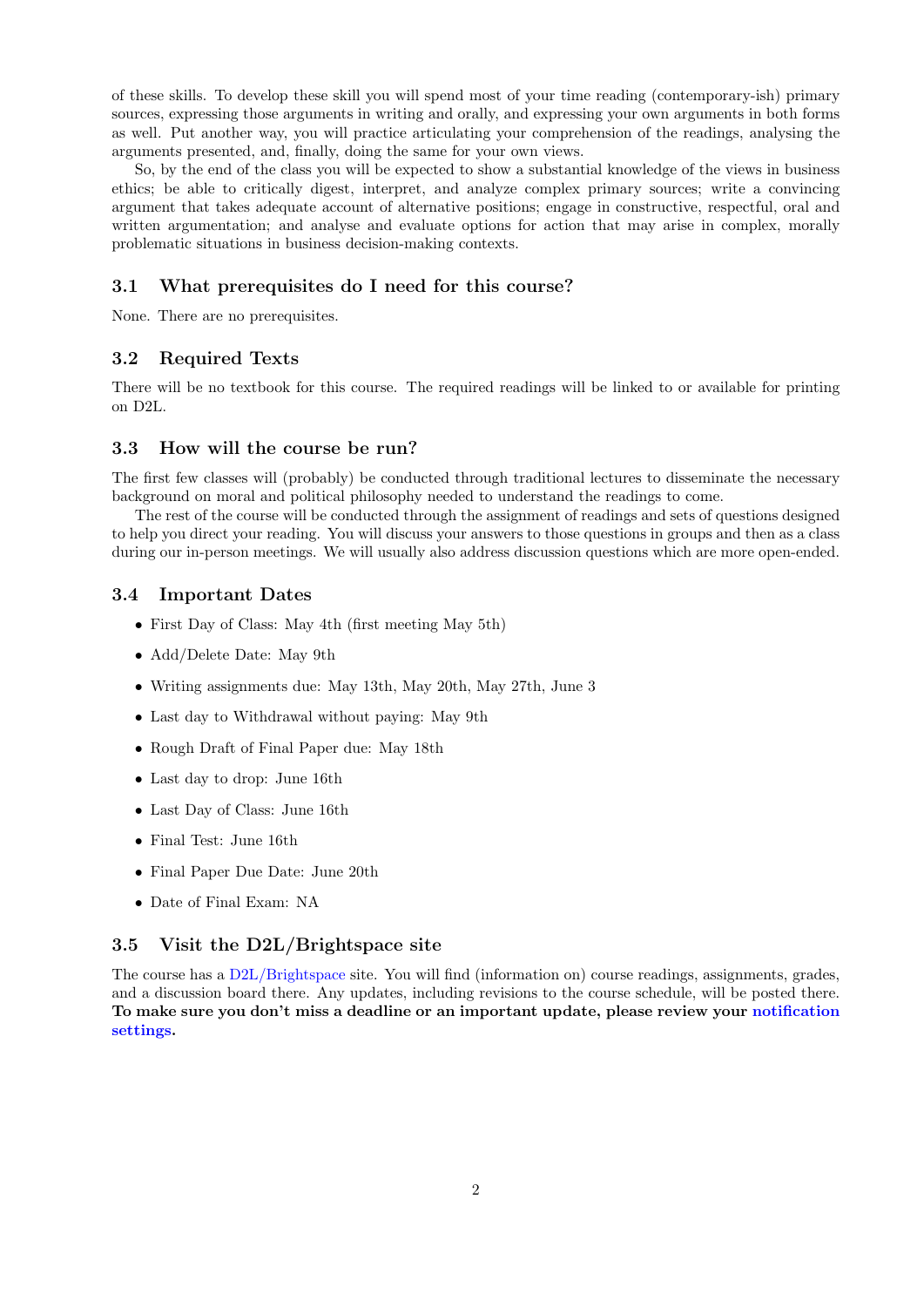of these skills. To develop these skill you will spend most of your time reading (contemporary-ish) primary sources, expressing those arguments in writing and orally, and expressing your own arguments in both forms as well. Put another way, you will practice articulating your comprehension of the readings, analysing the arguments presented, and, finally, doing the same for your own views.

So, by the end of the class you will be expected to show a substantial knowledge of the views in business ethics; be able to critically digest, interpret, and analyze complex primary sources; write a convincing argument that takes adequate account of alternative positions; engage in constructive, respectful, oral and written argumentation; and analyse and evaluate options for action that may arise in complex, morally problematic situations in business decision-making contexts.

## 3.1 What prerequisites do I need for this course?

None. There are no prerequisites.

## 3.2 Required Texts

There will be no textbook for this course. The required readings will be linked to or available for printing on D2L.

## 3.3 How will the course be run?

The first few classes will (probably) be conducted through traditional lectures to disseminate the necessary background on moral and political philosophy needed to understand the readings to come.

The rest of the course will be conducted through the assignment of readings and sets of questions designed to help you direct your reading. You will discuss your answers to those questions in groups and then as a class during our in-person meetings. We will usually also address discussion questions which are more open-ended.

### 3.4 Important Dates

- First Day of Class: May 4th (first meeting May 5th)
- Add/Delete Date: May 9th
- Writing assignments due: May 13th, May 20th, May 27th, June 3
- Last day to Withdrawal without paying: May 9th
- Rough Draft of Final Paper due: May 18th
- Last day to drop: June 16th
- Last Day of Class: June 16th
- Final Test: June 16th
- Final Paper Due Date: June 20th
- Date of Final Exam: NA

## 3.5 Visit the D2L/Brightspace site

The course has a [D2L/Brightspace](https://d2l.ucalgary.ca/d2l/home/454014) site. You will find (information on) course readings, assignments, grades, and a discussion board there. Any updates, including revisions to the course schedule, will be posted there. To make sure you don't miss a deadline or an important update, please review your [notification](https://d2l.ucalgary.ca/d2l/Notifications/Settings) [settings.](https://d2l.ucalgary.ca/d2l/Notifications/Settings)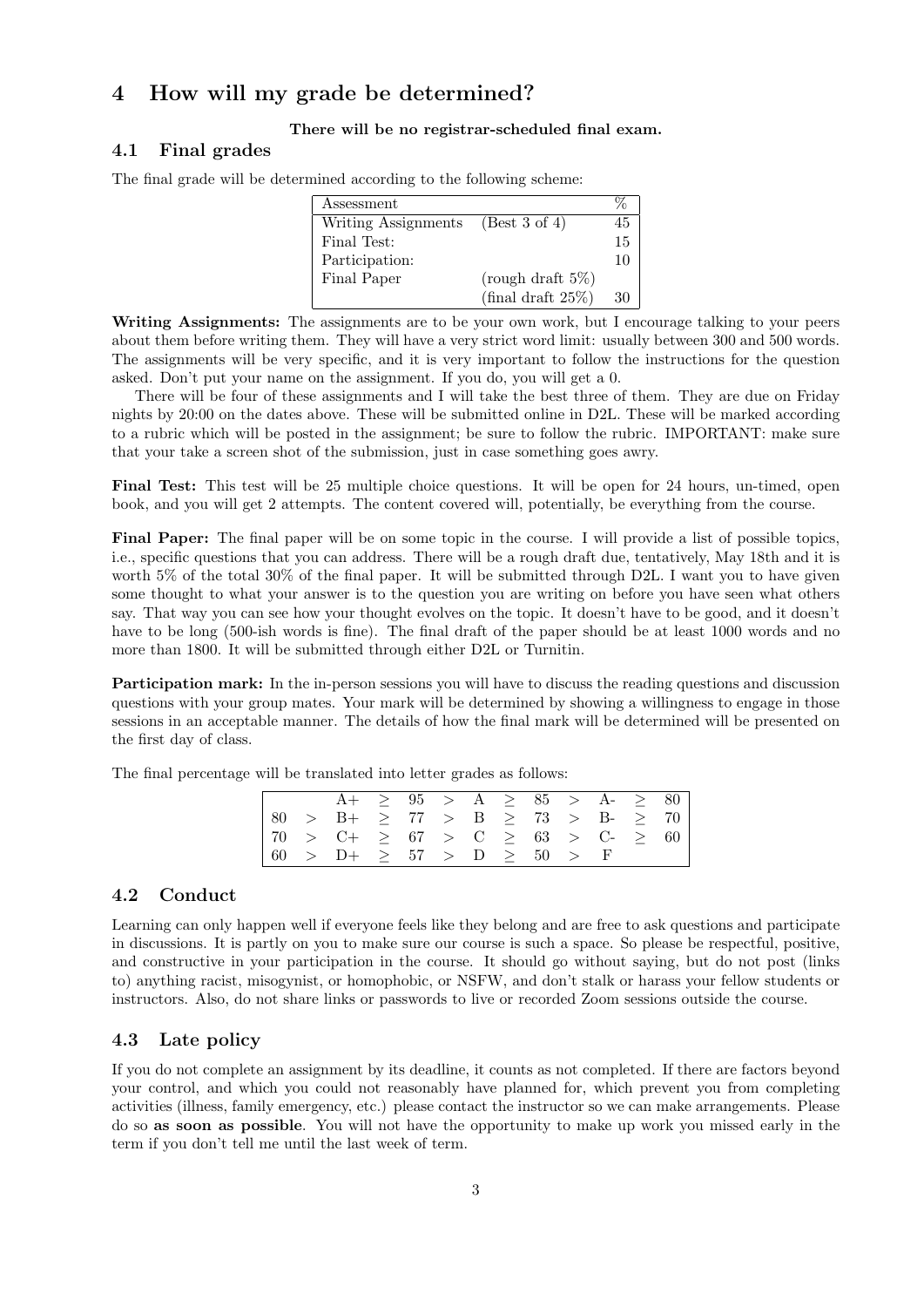# 4 How will my grade be determined?

#### There will be no registrar-scheduled final exam.

## 4.1 Final grades

| Assessment          |                              |    |
|---------------------|------------------------------|----|
| Writing Assignments | (Best 3 of 4)                | 45 |
| Final Test:         |                              | 15 |
| Participation:      |                              | 10 |
| Final Paper         | (rough draft $5\%$ )         |    |
|                     | $(\text{final draft } 25\%)$ | 30 |

The final grade will be determined according to the following scheme:

Writing Assignments: The assignments are to be your own work, but I encourage talking to your peers about them before writing them. They will have a very strict word limit: usually between 300 and 500 words. The assignments will be very specific, and it is very important to follow the instructions for the question asked. Don't put your name on the assignment. If you do, you will get a 0.

There will be four of these assignments and I will take the best three of them. They are due on Friday nights by 20:00 on the dates above. These will be submitted online in D2L. These will be marked according to a rubric which will be posted in the assignment; be sure to follow the rubric. IMPORTANT: make sure that your take a screen shot of the submission, just in case something goes awry.

Final Test: This test will be 25 multiple choice questions. It will be open for 24 hours, un-timed, open book, and you will get 2 attempts. The content covered will, potentially, be everything from the course.

Final Paper: The final paper will be on some topic in the course. I will provide a list of possible topics, i.e., specific questions that you can address. There will be a rough draft due, tentatively, May 18th and it is worth 5% of the total 30% of the final paper. It will be submitted through D2L. I want you to have given some thought to what your answer is to the question you are writing on before you have seen what others say. That way you can see how your thought evolves on the topic. It doesn't have to be good, and it doesn't have to be long (500-ish words is fine). The final draft of the paper should be at least 1000 words and no more than 1800. It will be submitted through either D2L or Turnitin.

Participation mark: In the in-person sessions you will have to discuss the reading questions and discussion questions with your group mates. Your mark will be determined by showing a willingness to engage in those sessions in an acceptable manner. The details of how the final mark will be determined will be presented on the first day of class.

The final percentage will be translated into letter grades as follows:

|  |                                                        |  |  |  | $A + \geq 95$ > $A \geq 85$ > $A - \geq 80$ |  |
|--|--------------------------------------------------------|--|--|--|---------------------------------------------|--|
|  | $\vert 80$ > B+ $\geq 77$ > B $\geq 73$ > B- $\geq 70$ |  |  |  |                                             |  |
|  | $  70 > C + \geq 67 > C \geq 63 > C - \geq 60$         |  |  |  |                                             |  |
|  | $\vert 60$ > D+ $\geq 57$ > D $\geq 50$ > F            |  |  |  |                                             |  |

### 4.2 Conduct

Learning can only happen well if everyone feels like they belong and are free to ask questions and participate in discussions. It is partly on you to make sure our course is such a space. So please be respectful, positive, and constructive in your participation in the course. It should go without saying, but do not post (links to) anything racist, misogynist, or homophobic, or NSFW, and don't stalk or harass your fellow students or instructors. Also, do not share links or passwords to live or recorded Zoom sessions outside the course.

## 4.3 Late policy

If you do not complete an assignment by its deadline, it counts as not completed. If there are factors beyond your control, and which you could not reasonably have planned for, which prevent you from completing activities (illness, family emergency, etc.) please contact the instructor so we can make arrangements. Please do so as soon as possible. You will not have the opportunity to make up work you missed early in the term if you don't tell me until the last week of term.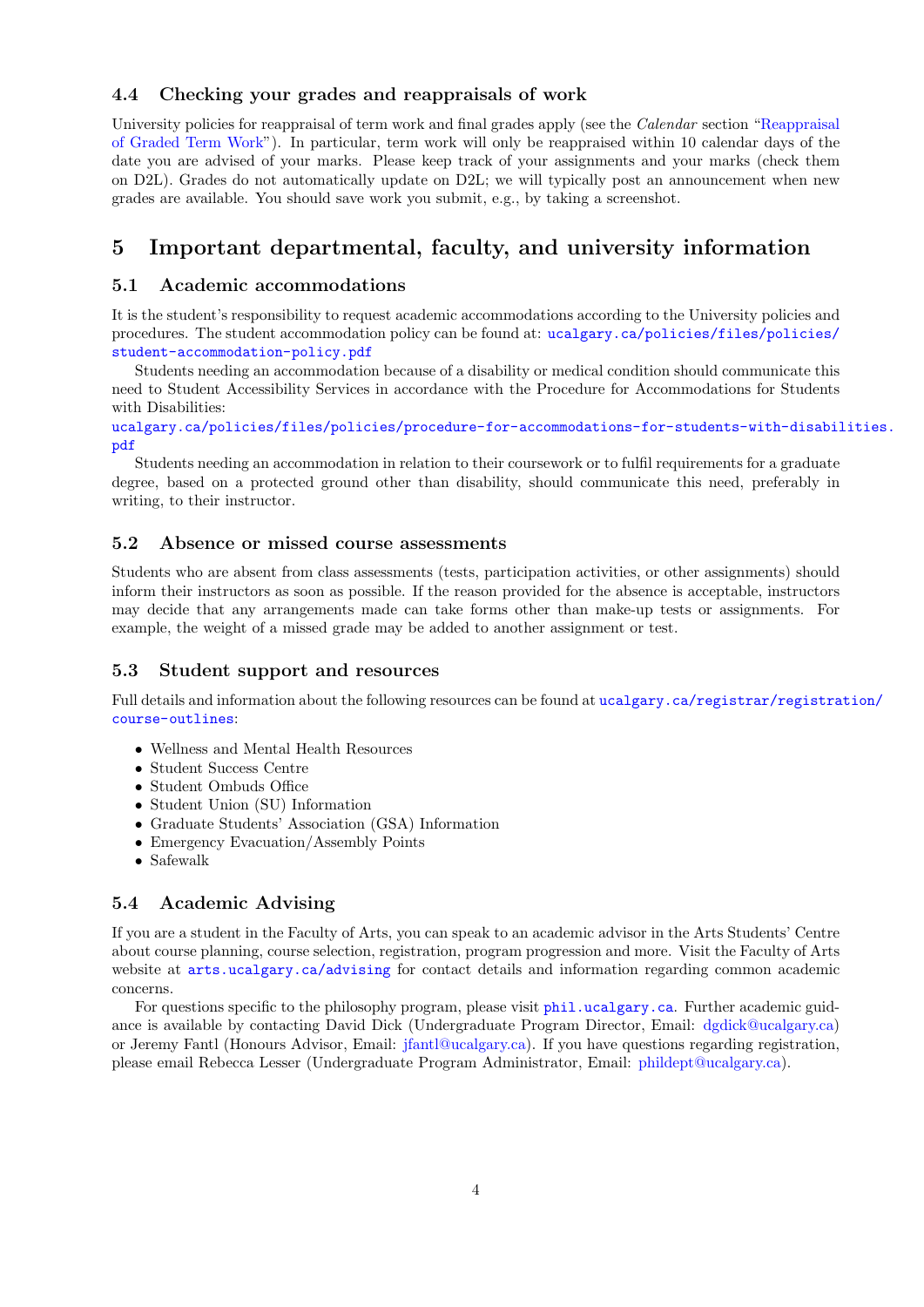## 4.4 Checking your grades and reappraisals of work

University policies for reappraisal of term work and final grades apply (see the *Calendar* section ["Reappraisal](https://www.ucalgary.ca/pubs/calendar/current/i-2.html)" [of Graded Term Work"](https://www.ucalgary.ca/pubs/calendar/current/i-2.html)). In particular, term work will only be reappraised within 10 calendar days of the date you are advised of your marks. Please keep track of your assignments and your marks (check them on D2L). Grades do not automatically update on D2L; we will typically post an announcement when new grades are available. You should save work you submit, e.g., by taking a screenshot.

# 5 Important departmental, faculty, and university information

## 5.1 Academic accommodations

It is the student's responsibility to request academic accommodations according to the University policies and procedures. The student accommodation policy can be found at: [ucalgary.ca/policies/files/policies/](ucalgary.ca/policies/files/policies/student-accommodation-policy.pdf) [student-accommodation-policy.pdf](ucalgary.ca/policies/files/policies/student-accommodation-policy.pdf)

Students needing an accommodation because of a disability or medical condition should communicate this need to Student Accessibility Services in accordance with the Procedure for Accommodations for Students with Disabilities:

[ucalgary.ca/policies/files/policies/procedure-for-accommodations-for-students-with-disabil](ucalgary.ca/policies/files/policies/procedure-for-accommodations-for-students-with-disabilities.pdf)ities. [pdf](ucalgary.ca/policies/files/policies/procedure-for-accommodations-for-students-with-disabilities.pdf)

Students needing an accommodation in relation to their coursework or to fulfil requirements for a graduate degree, based on a protected ground other than disability, should communicate this need, preferably in writing, to their instructor.

## 5.2 Absence or missed course assessments

Students who are absent from class assessments (tests, participation activities, or other assignments) should inform their instructors as soon as possible. If the reason provided for the absence is acceptable, instructors may decide that any arrangements made can take forms other than make-up tests or assignments. For example, the weight of a missed grade may be added to another assignment or test.

### 5.3 Student support and resources

Full details and information about the following resources can be found at [ucalgary.ca/registrar/registra](ucalgary.ca/registrar/registration/course-outlines)tion/ [course-outlines](ucalgary.ca/registrar/registration/course-outlines):

- Wellness and Mental Health Resources
- Student Success Centre
- Student Ombuds Office
- Student Union (SU) Information
- Graduate Students' Association (GSA) Information
- Emergency Evacuation/Assembly Points
- Safewalk

## 5.4 Academic Advising

If you are a student in the Faculty of Arts, you can speak to an academic advisor in the Arts Students' Centre about course planning, course selection, registration, program progression and more. Visit the Faculty of Arts website at  $arts.ucalgary.ca/advising$  for contact details and information regarding common academic concerns.

For questions specific to the philosophy program, please visit <phil.ucalgary.ca>. Further academic guidance is available by contacting David Dick (Undergraduate Program Director, Email: [dgdick@ucalgary.ca\)](mailto:dgdick@ucalgary.ca) or Jeremy Fantl (Honours Advisor, Email: [jfantl@ucalgary.ca\)](mailto:jfantl@ucalgary.ca). If you have questions regarding registration, please email Rebecca Lesser (Undergraduate Program Administrator, Email: [phildept@ucalgary.ca\)](mailto:phildept@ucalgary.ca).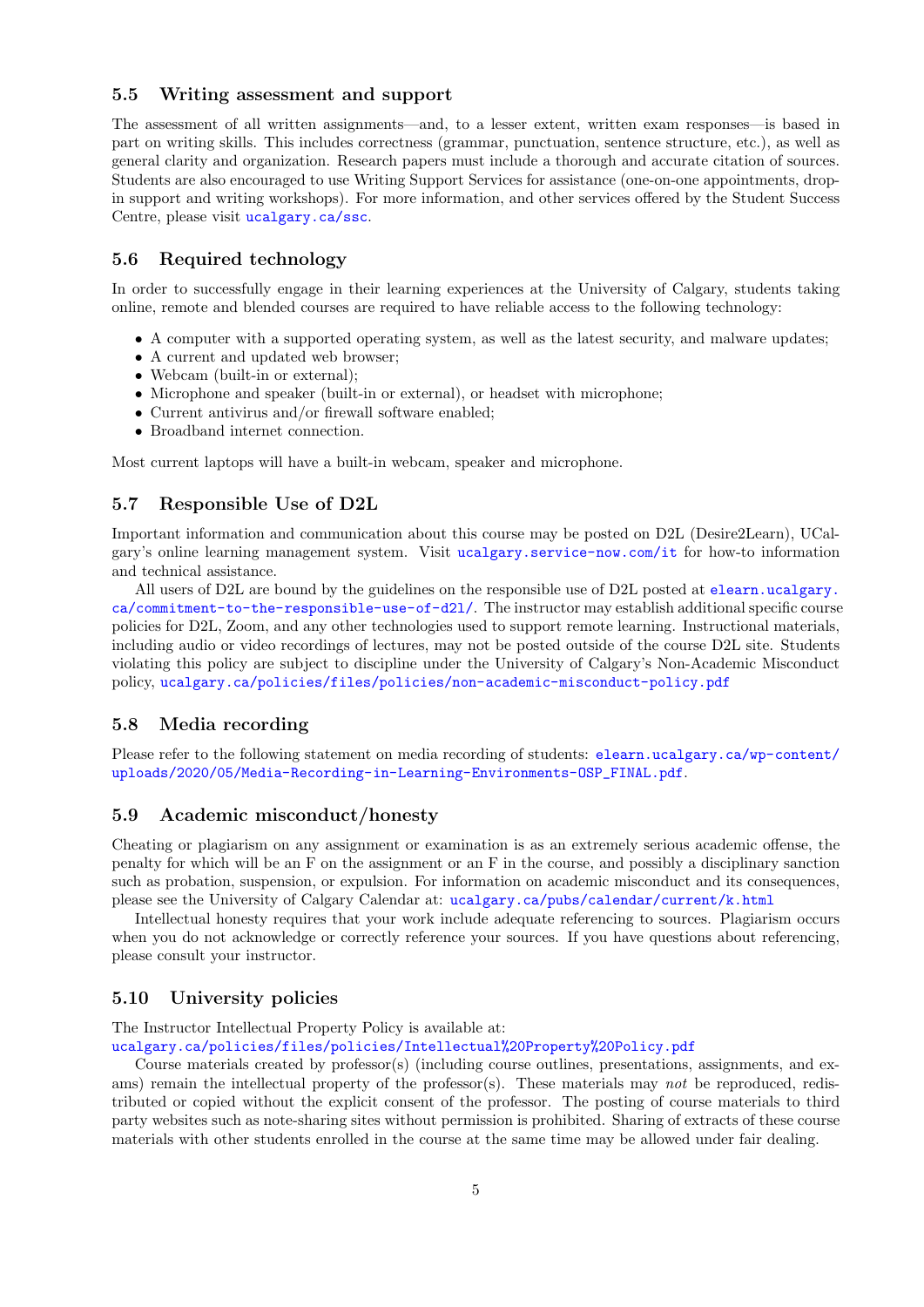#### 5.5 Writing assessment and support

The assessment of all written assignments—and, to a lesser extent, written exam responses—is based in part on writing skills. This includes correctness (grammar, punctuation, sentence structure, etc.), as well as general clarity and organization. Research papers must include a thorough and accurate citation of sources. Students are also encouraged to use Writing Support Services for assistance (one-on-one appointments, dropin support and writing workshops). For more information, and other services offered by the Student Success Centre, please visit <ucalgary.ca/ssc>.

### 5.6 Required technology

In order to successfully engage in their learning experiences at the University of Calgary, students taking online, remote and blended courses are required to have reliable access to the following technology:

- A computer with a supported operating system, as well as the latest security, and malware updates;
- A current and updated web browser;
- Webcam (built-in or external);
- Microphone and speaker (built-in or external), or headset with microphone;
- Current antivirus and/or firewall software enabled;
- Broadband internet connection.

Most current laptops will have a built-in webcam, speaker and microphone.

## 5.7 Responsible Use of D2L

Important information and communication about this course may be posted on D2L (Desire2Learn), UCalgary's online learning management system. Visit <ucalgary.service-now.com/it> for how-to information and technical assistance.

All users of D2L are bound by the guidelines on the responsible use of D2L posted at [elearn.ucalgary.](elearn.ucalgary.ca/commitment-to-the-responsible-use-of-d2l/) [ca/commitment-to-the-responsible-use-of-d2l/](elearn.ucalgary.ca/commitment-to-the-responsible-use-of-d2l/). The instructor may establish additional specific course policies for D2L, Zoom, and any other technologies used to support remote learning. Instructional materials, including audio or video recordings of lectures, may not be posted outside of the course D2L site. Students violating this policy are subject to discipline under the University of Calgary's Non-Academic Misconduct policy, <ucalgary.ca/policies/files/policies/non-academic-misconduct-policy.pdf>

## 5.8 Media recording

Please refer to the following statement on media recording of students: [elearn.ucalgary.ca/wp-content/](elearn.ucalgary.ca/wp-content/uploads/2020/05/Media-Recording-in-Learning-Environments-OSP_FINAL.pdf) [uploads/2020/05/Media-Recording-in-Learning-Environments-OSP\\_FINAL.pdf](elearn.ucalgary.ca/wp-content/uploads/2020/05/Media-Recording-in-Learning-Environments-OSP_FINAL.pdf).

#### 5.9 Academic misconduct/honesty

Cheating or plagiarism on any assignment or examination is as an extremely serious academic offense, the penalty for which will be an F on the assignment or an F in the course, and possibly a disciplinary sanction such as probation, suspension, or expulsion. For information on academic misconduct and its consequences, please see the University of Calgary Calendar at: <ucalgary.ca/pubs/calendar/current/k.html>

Intellectual honesty requires that your work include adequate referencing to sources. Plagiarism occurs when you do not acknowledge or correctly reference your sources. If you have questions about referencing, please consult your instructor.

## 5.10 University policies

The Instructor Intellectual Property Policy is available at: <ucalgary.ca/policies/files/policies/Intellectual%20Property%20Policy.pdf>

Course materials created by  $\text{professor}(s)$  (including course outlines, presentations, assignments, and exams) remain the intellectual property of the professor(s). These materials may not be reproduced, redistributed or copied without the explicit consent of the professor. The posting of course materials to third party websites such as note-sharing sites without permission is prohibited. Sharing of extracts of these course materials with other students enrolled in the course at the same time may be allowed under fair dealing.